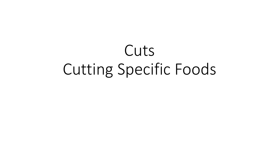# Cuts Cutting Specific Foods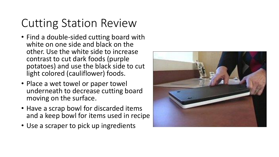### Cutting Station Review

- Find a double-sided cutting board with white on one side and black on the other. Use the white side to increase contrast to cut dark foods (purple potatoes) and use the black side to cut light colored (cauliflower) foods.
- Place a wet towel or paper towel underneath to decrease cutting board moving on the surface.
- Have a scrap bowl for discarded items and a keep bowl for items used in recipe
- Use a scraper to pick up ingredients

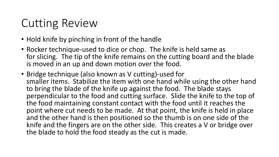### Cutting Review

- Hold knife by pinching in front of the handle
- Rocker technique-used to dice or chop. The knife is held same as for slicing. The tip of the knife remains on the cutting board and the blade is moved in an up and down motion over the food.
- Bridge technique (also known as V cutting)-used for smaller items. Stabilize the item with one hand while using the other hand to bring the blade of the knife up against the food. The blade stays perpendicular to the food and cutting surface. Slide the knife to the top of the food maintaining constant contact with the food until it reaches the point where cut needs to be made. At that point, the knife is held in place and the other hand is then positioned so the thumb is on one side of the knife and the fingers are on the other side. This creates a V or bridge over the blade to hold the food steady as the cut is made.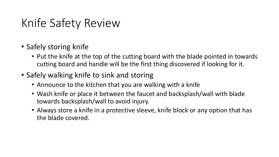### Knife Safety Review

- Safely storing knife
	- Put the knife at the top of the cutting board with the blade pointed in towards cutting board and handle will be the first thing discovered if looking for it.
- Safely walking knife to sink and storing
	- Announce to the kitchen that you are walking with a knife
	- Wash knife or place it between the faucet and backsplash/wall with blade towards backsplash/wall to avoid injury.
	- Always store a knife in a protective sleeve, knife block or any option that has the blade covered.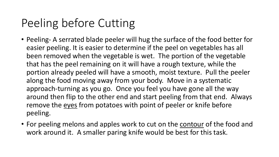### Peeling before Cutting

- Peeling- A serrated blade peeler will hug the surface of the food better for easier peeling. It is easier to determine if the peel on vegetables has all been removed when the vegetable is wet. The portion of the vegetable that has the peel remaining on it will have a rough texture, while the portion already peeled will have a smooth, moist texture. Pull the peeler along the food moving away from your body. Move in a systematic approach-turning as you go. Once you feel you have gone all the way around then flip to the other end and start peeling from that end. Always remove the eyes from potatoes with point of peeler or knife before peeling.
- For peeling melons and apples work to cut on the contour of the food and work around it. A smaller paring knife would be best for this task.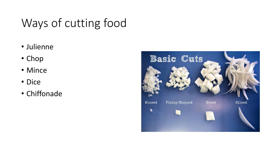## Ways of cutting food

- Julienne
- Chop
- Mince
- Dice
- Chiffonade

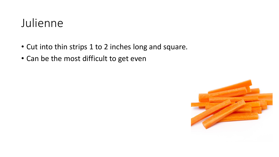#### Julienne

- Cut into thin strips 1 to 2 inches long and square.
- Can be the most difficult to get even

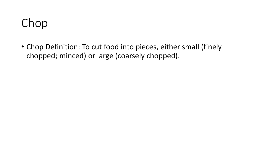### Chop

• Chop Definition: To cut food into pieces, either small (finely chopped; minced) or large (coarsely chopped).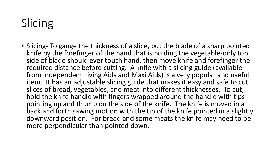# Slicing

• Slicing- To gauge the thickness of a slice, put the blade of a sharp pointed knife by the forefinger of the hand that is holding the vegetable-only top side of blade should ever touch hand, then move knife and forefinger the required distance before cutting. A knife with a slicing guide (available from Independent Living Aids and Maxi Aids) is a very popular and useful item. It has an adjustable slicing guide that makes it easy and safe to cut slices of bread, vegetables, and meat into different thicknesses. To cut, hold the knife handle with fingers wrapped around the handle with tips pointing up and thumb on the side of the knife. The knife is moved in a back and forth sawing motion with the tip of the knife pointed in a slightly downward position. For bread and some meats the knife may need to be more perpendicular than pointed down.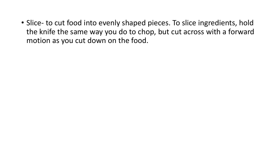• Slice- to cut food into evenly shaped pieces. To slice ingredients, hold the knife the same way you do to chop, but cut across with a forward motion as you cut down on the food.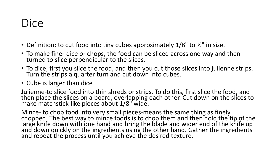#### Dice

- Definition: to cut food into tiny cubes approximately  $1/8$ " to  $\frac{1}{2}$ " in size.
- To make finer dice or chops, the food can be sliced across one way and then turned to slice perpendicular to the slices.
- To dice, first you slice the food, and then you cut those slices into julienne strips. Turn the strips a quarter turn and cut down into cubes.
- Cube is larger than dice

Julienne-to slice food into thin shreds or strips. To do this, first slice the food, and then place the slices on a board, overlapping each other. Cut down on the slices to make matchstick-like pieces about 1/8" wide.

Mince- to chop food into very small pieces-means the same thing as finely chopped. The best way to mince foods is to chop them and then hold the tip of the large knife down with one hand and bring the blade and wider end of the knife up and down quickly on the ingredients using the other hand. Gather the ingredients and repeat the process until you achieve the desired texture.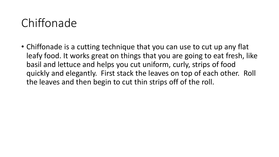#### Chiffonade

• Chiffonade is a cutting technique that you can use to cut up any flat leafy food. It works great on things that you are going to eat fresh, like basil and lettuce and helps you cut uniform, curly, strips of food quickly and elegantly. First stack the leaves on top of each other. Roll the leaves and then begin to cut thin strips off of the roll.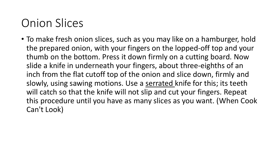### Onion Slices

• To make fresh onion slices, such as you may like on a hamburger, hold the prepared onion, with your fingers on the lopped-off top and your thumb on the bottom. Press it down firmly on a cutting board. Now slide a knife in underneath your fingers, about three-eighths of an inch from the flat cutoff top of the onion and slice down, firmly and slowly, using sawing motions. Use a serrated knife for this; its teeth will catch so that the knife will not slip and cut your fingers. Repeat this procedure until you have as many slices as you want. (When Cook Can't Look)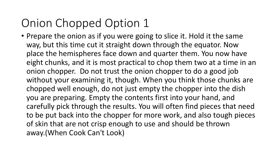## Onion Chopped Option 1

• Prepare the onion as if you were going to slice it. Hold it the same way, but this time cut it straight down through the equator. Now place the hemispheres face down and quarter them. You now have eight chunks, and it is most practical to chop them two at a time in an onion chopper. Do not trust the onion chopper to do a good job without your examining it, though. When you think those chunks are chopped well enough, do not just empty the chopper into the dish you are preparing. Empty the contents first into your hand, and carefully pick through the results. You will often find pieces that need to be put back into the chopper for more work, and also tough pieces of skin that are not crisp enough to use and should be thrown away.(When Cook Can't Look)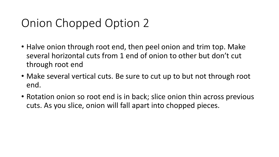### Onion Chopped Option 2

- Halve onion through root end, then peel onion and trim top. Make several horizontal cuts from 1 end of onion to other but don't cut through root end
- Make several vertical cuts. Be sure to cut up to but not through root end.
- Rotation onion so root end is in back; slice onion thin across previous cuts. As you slice, onion will fall apart into chopped pieces.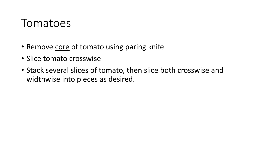#### Tomatoes

- Remove core of tomato using paring knife
- Slice tomato crosswise
- Stack several slices of tomato, then slice both crosswise and widthwise into pieces as desired.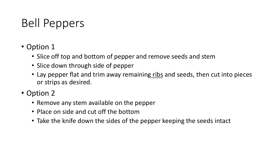### Bell Peppers

- Option 1
	- Slice off top and bottom of pepper and remove seeds and stem
	- Slice down through side of pepper
	- Lay pepper flat and trim away remaining ribs and seeds, then cut into pieces or strips as desired.
- Option 2
	- Remove any stem available on the pepper
	- Place on side and cut off the bottom
	- Take the knife down the sides of the pepper keeping the seeds intact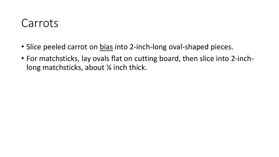#### Carrots

- Slice peeled carrot on bias into 2-inch-long oval-shaped pieces.
- For matchsticks, lay ovals flat on cutting board, then slice into 2-inchlong matchsticks, about  $\frac{1}{4}$  inch thick.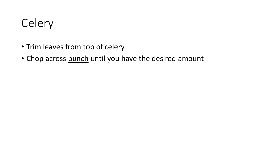

- Trim leaves from top of celery
- Chop across bunch until you have the desired amount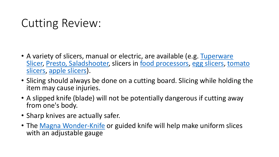### Cutting Review:

- [A variety of slicers, manual or electric, are available \(e.g. Tuperware](https://www.tupperware.com/products/mandoline?variant=40168877588652¤cy=USD&utm_medium=product_sync&utm_source=google&utm_content=sag_organic&utm_campaign=sag_organic&gclid=EAIaIQobChMIg8Kz1-Xk9AIVqxNMCh18QwIwEAQYASABEgLpK_D_BwE) Slicer, [Presto, Saladshoote](https://www.amazon.com/Presto-02910-Shooter-Electric-Shredder/dp/B00006IV0R/ref=sr_1_2?gclid=EAIaIQobChMIxa6Q-uXk9AIVkxXUAR2wdAXUEAAYAiAAEgIeNvD_BwE&hvadid=241616729701&hvdev=c&hvlocphy=9052587&hvnetw=g&hvqmt=e&hvrand=13104166633790684230&hvtargid=kwd-394004495&hydadcr=13935_10209353&keywords=presto+salad+shooter&qid=1639536656&sr=8-2)[r, slicers in](https://www.amazon.com/Luncheon-Cutter-Stainless-Serrated-Slicing/dp/B091GYJB5Y/ref=asc_df_B091GYJB5Y/?tag=hyprod-20&linkCode=df0&hvadid=518732511788&hvpos=&hvnetw=g&hvrand=3596980761202948793&hvpone=&hvptwo=&hvqmt=&hvdev=c&hvdvcmdl=&hvlocint=&hvlocphy=9052587&hvtargid=pla-1344858284834&psc=1) [food processors](https://www.amazon.com/Hamilton-Beach-70740-8-Cup-Processor/dp/B00755KNCS)[,](https://www.amazon.com/Luncheon-Cutter-Stainless-Serrated-Slicing/dp/B091GYJB5Y/ref=asc_df_B091GYJB5Y/?tag=hyprod-20&linkCode=df0&hvadid=518732511788&hvpos=&hvnetw=g&hvrand=3596980761202948793&hvpone=&hvptwo=&hvqmt=&hvdev=c&hvdvcmdl=&hvlocint=&hvlocphy=9052587&hvtargid=pla-1344858284834&psc=1) [egg slicers](https://www.amazon.com/Commercial-Mushroom-Slicer-Stainless-Cutting/dp/B08941V1QV/ref=asc_df_B08941V1QV/?tag=hyprod-20&linkCode=df0&hvadid=459726330379&hvpos=&hvnetw=g&hvrand=11633974799053789313&hvpone=&hvptwo=&hvqmt=&hvdev=c&hvdvcmdl=&hvlocint=&hvlocphy=9052587&hvtargid=pla-945898164435&psc=1)[, tomato](https://www.amazon.com/Luncheon-Cutter-Stainless-Serrated-Slicing/dp/B091GYJB5Y/ref=asc_df_B091GYJB5Y/?tag=hyprod-20&linkCode=df0&hvadid=518732511788&hvpos=&hvnetw=g&hvrand=3596980761202948793&hvpone=&hvptwo=&hvqmt=&hvdev=c&hvdvcmdl=&hvlocint=&hvlocphy=9052587&hvtargid=pla-1344858284834&psc=1)  slicers, [apple slicers](https://www.amazon.com/SINGARE-12-Blade-Remover-Kitchen-Stainless/dp/B08MW1J9PQ/ref=asc_df_B08MW1J9PQ/?tag=hyprod-20&linkCode=df0&hvadid=475772620449&hvpos=&hvnetw=g&hvrand=12695237391360554456&hvpone=&hvptwo=&hvqmt=&hvdev=c&hvdvcmdl=&hvlocint=&hvlocphy=9052587&hvtargid=pla-1166269634877&psc=1)).
- Slicing should always be done on a cutting board. Slicing while holding the item may cause injuries.
- A slipped knife (blade) will not be potentially dangerous if cutting away from one's body.
- Sharp knives are actually safer.
- The [Magna Wonder-Knife](https://www.amazon.com/Mercer-Culinary-MercerSlice-Serrated-Adjustable/dp/B01MEHY2ZN/ref=sr_1_2?keywords=Magna+Wonder+Knife&qid=1639536501&sr=8-2) or guided knife will help make uniform slices with an adjustable gauge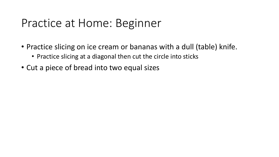#### Practice at Home: Beginner

- Practice slicing on ice cream or bananas with a dull (table) knife.
	- Practice slicing at a diagonal then cut the circle into sticks
- Cut a piece of bread into two equal sizes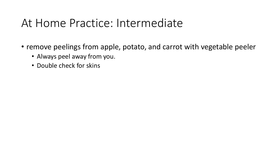#### At Home Practice: Intermediate

- remove peelings from apple, potato, and carrot with vegetable peeler
	- Always peel away from you.
	- Double check for skins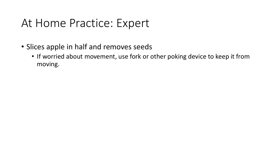#### At Home Practice: Expert

- Slices apple in half and removes seeds
	- If worried about movement, use fork or other poking device to keep it from moving.